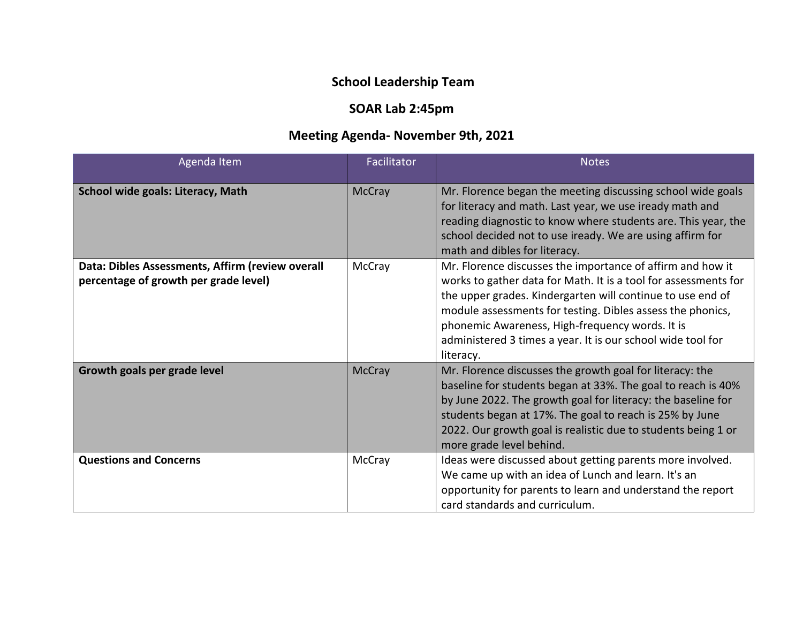## **School Leadership Team**

## **SOAR Lab 2:45pm**

## **Meeting Agenda- November 9th, 2021**

| Agenda Item                                                                               | Facilitator   | <b>Notes</b>                                                                                                                                                                                                                                                                                                                                                                             |
|-------------------------------------------------------------------------------------------|---------------|------------------------------------------------------------------------------------------------------------------------------------------------------------------------------------------------------------------------------------------------------------------------------------------------------------------------------------------------------------------------------------------|
| School wide goals: Literacy, Math                                                         | <b>McCray</b> | Mr. Florence began the meeting discussing school wide goals<br>for literacy and math. Last year, we use iready math and<br>reading diagnostic to know where students are. This year, the<br>school decided not to use iready. We are using affirm for<br>math and dibles for literacy.                                                                                                   |
| Data: Dibles Assessments, Affirm (review overall<br>percentage of growth per grade level) | McCray        | Mr. Florence discusses the importance of affirm and how it<br>works to gather data for Math. It is a tool for assessments for<br>the upper grades. Kindergarten will continue to use end of<br>module assessments for testing. Dibles assess the phonics,<br>phonemic Awareness, High-frequency words. It is<br>administered 3 times a year. It is our school wide tool for<br>literacy. |
| Growth goals per grade level                                                              | <b>McCray</b> | Mr. Florence discusses the growth goal for literacy: the<br>baseline for students began at 33%. The goal to reach is 40%<br>by June 2022. The growth goal for literacy: the baseline for<br>students began at 17%. The goal to reach is 25% by June<br>2022. Our growth goal is realistic due to students being 1 or<br>more grade level behind.                                         |
| <b>Questions and Concerns</b>                                                             | McCray        | Ideas were discussed about getting parents more involved.<br>We came up with an idea of Lunch and learn. It's an<br>opportunity for parents to learn and understand the report<br>card standards and curriculum.                                                                                                                                                                         |